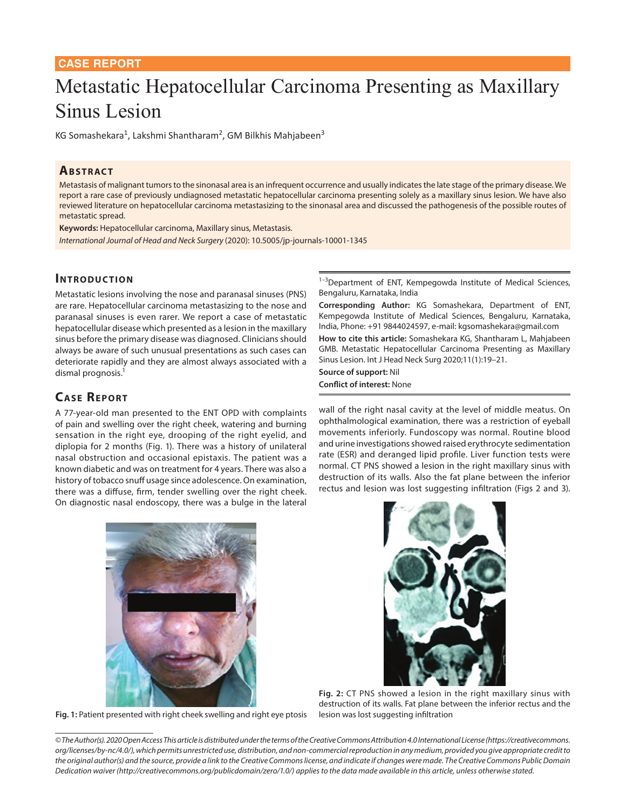## **CASE REPORT**

# Metastatic Hepatocellular Carcinoma Presenting as Maxillary Sinus Lesion

KG Somashekara<sup>1</sup>, Lakshmi Shantharam<sup>2</sup>, GM Bilkhis Mahjabeen<sup>3</sup>

# **ABSTRACT**

Metastasis of malignant tumors to the sinonasal area is an infrequent occurrence and usually indicates the late stage of the primary disease. We report a rare case of previously undiagnosed metastatic hepatocellular carcinoma presenting solely as a maxillary sinus lesion. We have also reviewed literature on hepatocellular carcinoma metastasizing to the sinonasal area and discussed the pathogenesis of the possible routes of metastatic spread.

**Keywords:** Hepatocellular carcinoma, Maxillary sinus, Metastasis. *International Journal of Head and Neck Surgery* (2020): 10.5005/jp-journals-10001-1345

## **INTRODUCTION**

Metastatic lesions involving the nose and paranasal sinuses (PNS) are rare. Hepatocellular carcinoma metastasizing to the nose and paranasal sinuses is even rarer. We report a case of metastatic hepatocellular disease which presented as a lesion in the maxillary sinus before the primary disease was diagnosed. Clinicians should always be aware of such unusual presentations as such cases can deteriorate rapidly and they are almost always associated with a dismal prognosis.<sup>1</sup>

# **CASE REPORT**

A 77-year-old man presented to the ENT OPD with complaints of pain and swelling over the right cheek, watering and burning sensation in the right eye, drooping of the right eyelid, and diplopia for 2 months (Fig. 1). There was a history of unilateral nasal obstruction and occasional epistaxis. The patient was a known diabetic and was on treatment for 4 years. There was also a history of tobacco snuff usage since adolescence. On examination, there was a diffuse, firm, tender swelling over the right cheek. On diagnostic nasal endoscopy, there was a bulge in the lateral 1-3Department of ENT, Kempegowda Institute of Medical Sciences, Bengaluru, Karnataka, India

**Corresponding Author:** KG Somashekara, Department of ENT, Kempegowda Institute of Medical Sciences, Bengaluru, Karnataka, India, Phone: +91 9844024597, e-mail: kgsomashekara@gmail.com

**How to cite this article:** Somashekara KG, Shantharam L, Mahjabeen GMB. Metastatic Hepatocellular Carcinoma Presenting as Maxillary Sinus Lesion. Int J Head Neck Surg 2020;11(1):19–21.

### **Source of support:** Nil

#### **Conflict of interest:** None

wall of the right nasal cavity at the level of middle meatus. On ophthalmological examination, there was a restriction of eyeball movements inferiorly. Fundoscopy was normal. Routine blood and urine investigations showed raised erythrocyte sedimentation rate (ESR) and deranged lipid profile. Liver function tests were normal. CT PNS showed a lesion in the right maxillary sinus with destruction of its walls. Also the fat plane between the inferior rectus and lesion was lost suggesting infiltration (Figs 2 and 3).



**Fig. 1:** Patient presented with right cheek swelling and right eye ptosis



**Fig. 2:** CT PNS showed a lesion in the right maxillary sinus with destruction of its walls. Fat plane between the inferior rectus and the lesion was lost suggesting infiltration

*© The Author(s). 2020 Open Access This article is distributed under the terms of the Creative Commons Attribution 4.0 International License (https://creativecommons. org/licenses/by-nc/4.0/), which permits unrestricted use, distribution, and non-commercial reproduction in any medium, provided you give appropriate credit to the original author(s) and the source, provide a link to the Creative Commons license, and indicate if changes were made. The Creative Commons Public Domain Dedication waiver (http://creativecommons.org/publicdomain/zero/1.0/) applies to the data made available in this article, unless otherwise stated.*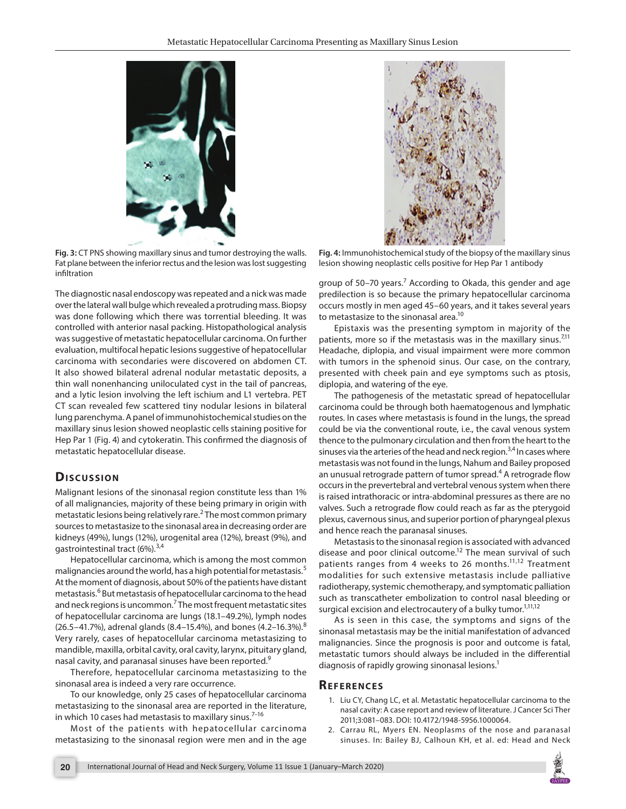

**Fig. 3:** CT PNS showing maxillary sinus and tumor destroying the walls. Fat plane between the inferior rectus and the lesion was lost suggesting infiltration

The diagnostic nasal endoscopy was repeated and a nick was made over the lateral wall bulge which revealed a protruding mass. Biopsy was done following which there was torrential bleeding. It was controlled with anterior nasal packing. Histopathological analysis was suggestive of metastatic hepatocellular carcinoma. On further evaluation, multifocal hepatic lesions suggestive of hepatocellular carcinoma with secondaries were discovered on abdomen CT. It also showed bilateral adrenal nodular metastatic deposits, a thin wall nonenhancing uniloculated cyst in the tail of pancreas, and a lytic lesion involving the left ischium and L1 vertebra. PET CT scan revealed few scattered tiny nodular lesions in bilateral lung parenchyma. A panel of immunohistochemical studies on the maxillary sinus lesion showed neoplastic cells staining positive for Hep Par 1 (Fig. 4) and cytokeratin. This confirmed the diagnosis of metastatic hepatocellular disease.

## **Dis c u s sio n**

Malignant lesions of the sinonasal region constitute less than 1% of all malignancies, majority of these being primary in origin with metastatic lesions being relatively rare.<sup>2</sup> The most common primary sources to metastasize to the sinonasal area in decreasing order are kidneys (49%), lungs (12%), urogenital area (12%), breast (9%), and gastrointestinal tract (6%).<sup>3,4</sup>

Hepatocellular carcinoma, which is among the most common malignancies around the world, has a high potential for metastasis.<sup>5</sup> At the moment of diagnosis, about 50% of the patients have distant metastasis.<sup>6</sup> But metastasis of hepatocellular carcinoma to the head and neck regions is uncommon.<sup>7</sup> The most frequent metastatic sites of hepatocellular carcinoma are lungs (18.1–49.2%), lymph nodes (26.5–41.7%), adrenal glands (8.4–15.4%), and bones (4.2–16.3%).<sup>8</sup> Very rarely, cases of hepatocellular carcinoma metastasizing to mandible, maxilla, orbital cavity, oral cavity, larynx, pituitary gland, nasal cavity, and paranasal sinuses have been reported.<sup>9</sup>

Therefore, hepatocellular carcinoma metastasizing to the sinonasal area is indeed a very rare occurrence.

To our knowledge, only 25 cases of hepatocellular carcinoma metastasizing to the sinonasal area are reported in the literature, in which 10 cases had metastasis to maxillary sinus.<sup>7-16</sup>

Most of the patients with hepatocellular carcinoma metastasizing to the sinonasal region were men and in the age



**Fig. 4:** Immunohistochemical study of the biopsy of the maxillary sinus lesion showing neoplastic cells positive for Hep Par 1 antibody

group of 50–70 years.<sup>7</sup> According to Okada, this gender and age predilection is so because the primary hepatocellular carcinoma occurs mostly in men aged 45–60 years, and it takes several years to metastasize to the sinonasal area.<sup>10</sup>

Epistaxis was the presenting symptom in majority of the patients, more so if the metastasis was in the maxillary sinus. $7^{11}$ Headache, diplopia, and visual impairment were more common with tumors in the sphenoid sinus. Our case, on the contrary, presented with cheek pain and eye symptoms such as ptosis, diplopia, and watering of the eye.

The pathogenesis of the metastatic spread of hepatocellular carcinoma could be through both haematogenous and lymphatic routes. In cases where metastasis is found in the lungs, the spread could be via the conventional route, i.e., the caval venous system thence to the pulmonary circulation and then from the heart to the sinuses via the arteries of the head and neck region.<sup>3,4</sup> In cases where metastasis was not found in the lungs, Nahum and Bailey proposed an unusual retrograde pattern of tumor spread.<sup>4</sup> A retrograde flow occurs in the prevertebral and vertebral venous system when there is raised intrathoracic or intra-abdominal pressures as there are no valves. Such a retrograde flow could reach as far as the pterygoid plexus, cavernous sinus, and superior portion of pharyngeal plexus and hence reach the paranasal sinuses.

Metastasis to the sinonasal region is associated with advanced disease and poor clinical outcome.<sup>12</sup> The mean survival of such patients ranges from 4 weeks to 26 months.<sup>11,12</sup> Treatment modalities for such extensive metastasis include palliative radiotherapy, systemic chemotherapy, and symptomatic palliation such as transcatheter embolization to control nasal bleeding or surgical excision and electrocautery of a bulky tumor.<sup>1,11,12</sup>

As is seen in this case, the symptoms and signs of the sinonasal metastasis may be the initial manifestation of advanced malignancies. Since the prognosis is poor and outcome is fatal, metastatic tumors should always be included in the differential diagnosis of rapidly growing sinonasal lesions.<sup>1</sup>

## **Re f e r e n c e s**

- 1. Liu CY, Chang LC, et al. Metastatic hepatocellular carcinoma to the nasal cavity: A case report and review of literature. J Cancer Sci Ther 2011;3:081–083. DOI: 10.4172/1948-5956.1000064.
- 2. Carrau RL, Myers EN. Neoplasms of the nose and paranasal sinuses. In: Bailey BJ, Calhoun KH, et al. ed: Head and Neck